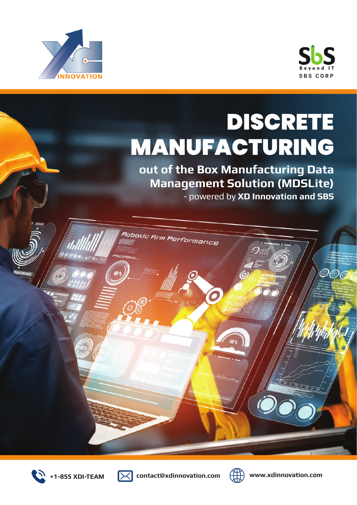



 $\mathcal{O} \mathcal{O}$ 6

# DISCRETE MANUFACTURING

**out of the Box Manufacturing Data Management Solution (MDSLite)** 

O

- powered by **XD Innovation and SBS**



WWWW





**+1-855 XDI-TEAM contact@xdinnovation.com www.xdinnovation.com**

Robotic Arm Performance

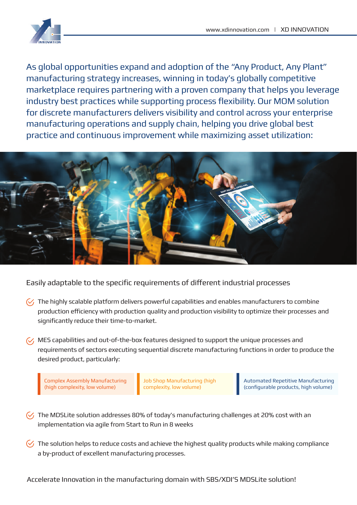

As global opportunities expand and adoption of the "Any Product, Any Plant" manufacturing strategy increases, winning in today's globally competitive marketplace requires partnering with a proven company that helps you leverage industry best practices while supporting process flexibility. Our MOM solution for discrete manufacturers delivers visibility and control across your enterprise manufacturing operations and supply chain, helping you drive global best practice and continuous improvement while maximizing asset utilization:



Easily adaptable to the specific requirements of different industrial processes

- $\mathcal{C}_1$  The highly scalable platform delivers powerful capabilities and enables manufacturers to combine production efficiency with production quality and production visibility to optimize their processes and significantly reduce their time-to-market.
- $\mathcal{U}$ , MES capabilities and out-of-the-box features designed to support the unique processes and requirements of sectors executing sequential discrete manufacturing functions in order to produce the desired product, particularly:

Complex Assembly Manufacturing (high complexity, low volume)

Job Shop Manufacturing (high complexity, low volume)

Automated Repetitive Manufacturing (configurable products, high volume)

- $\sqrt{2}$  The MDSLite solution addresses 80% of today's manufacturing challenges at 20% cost with an implementation via agile from Start to Run in 8 weeks
- $\heartsuit$  The solution helps to reduce costs and achieve the highest quality products while making compliance a by-product of excellent manufacturing processes.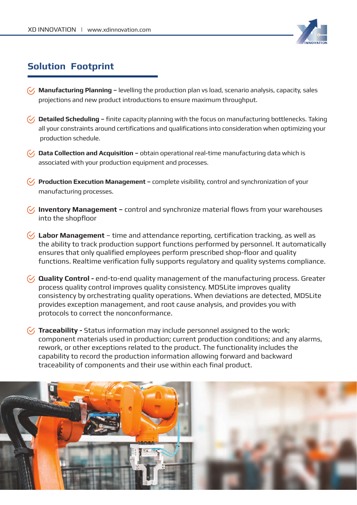

# **Solution Footprint**

- **Manufacturing Planning –** levelling the production plan vs load, scenario analysis, capacity, sales projections and new product introductions to ensure maximum throughput.
- **V** Detailed Scheduling finite capacity planning with the focus on manufacturing bottlenecks. Taking all your constraints around certifications and qualifications into consideration when optimizing your production schedule.
- $\mathcal{C}_1$  **Data Collection and Acquisition** obtain operational real-time manufacturing data which is associated with your production equipment and processes.
- **Production Execution Management –** complete visibility, control and synchronization of your manufacturing processes.
- $\sqrt{ }$  **Inventory Management –** control and synchronize material flows from your warehouses into the shopfloor
- **Labor Management**  time and attendance reporting, certification tracking, as well as the ability to track production support functions performed by personnel. It automatically ensures that only qualified employees perform prescribed shop-floor and quality functions. Realtime verification fully supports regulatory and quality systems compliance.
- **Quality Control -** end-to-end quality management of the manufacturing process. Greater process quality control improves quality consistency. MDSLite improves quality consistency by orchestrating quality operations. When deviations are detected, MDSLite provides exception management, and root cause analysis, and provides you with protocols to correct the nonconformance.
- **Traceability -** Status information may include personnel assigned to the work; component materials used in production; current production conditions; and any alarms, rework, or other exceptions related to the product. The functionality includes the capability to record the production information allowing forward and backward traceability of components and their use within each final product.

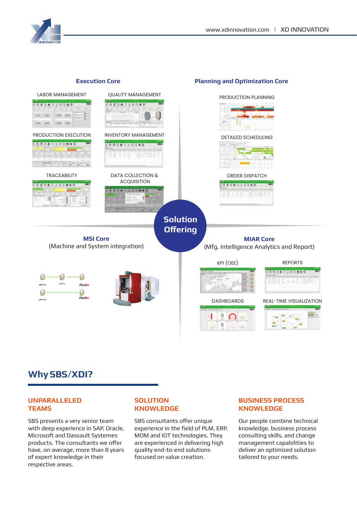



## **Why SBS/XDI?**

#### **UNPARALLELED TEAMS**

SBS presents a very senior team with deep experience in SAP, Oracle, Microsoft and Dassault Systemes products. The consultants we offer have, on average, more than 8 years of expert knowledge in their respective areas.

### **SOLUTION KNOWLEDGE**

SBS consultants offer unique experience in the field of PLM, ERP, MOM and IOT technologies. They are experienced in delivering high quality end-to-end solutions focused on value creation.

## **BUSINESS PROCESS KNOWLEDGE**

Our people combine technical knowledge, business process consulting skills, and change management capabilities to deliver an optimized solution tailored to your needs.